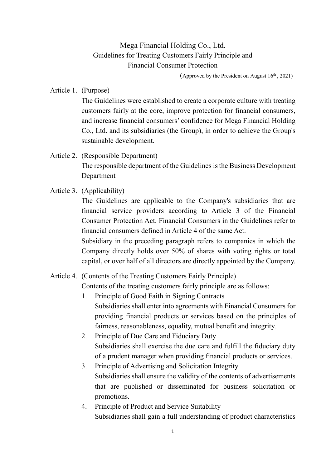Mega Financial Holding Co., Ltd. Guidelines for Treating Customers Fairly Principle and Financial Consumer Protection

(Approved by the President on August  $16<sup>th</sup>$ , 2021)

Article 1. (Purpose)

The Guidelines were established to create a corporate culture with treating customers fairly at the core, improve protection for financial consumers, and increase financial consumers' confidence for Mega Financial Holding Co., Ltd. and its subsidiaries (the Group), in order to achieve the Group's sustainable development.

## Article 2. (Responsible Department) The responsible department of the Guidelines is the Business Development Department

## Article 3. (Applicability)

The Guidelines are applicable to the Company's subsidiaries that are financial service providers according to Article 3 of the Financial Consumer Protection Act. Financial Consumers in the Guidelines refer to financial consumers defined in Article 4 of the same Act.

Subsidiary in the preceding paragraph refers to companies in which the Company directly holds over 50% of shares with voting rights or total capital, or over half of all directors are directly appointed by the Company.

## Article 4. (Contents of the Treating Customers Fairly Principle)

Contents of the treating customers fairly principle are as follows:

- 1. Principle of Good Faith in Signing Contracts Subsidiaries shall enter into agreements with Financial Consumers for providing financial products or services based on the principles of fairness, reasonableness, equality, mutual benefit and integrity.
- 2. Principle of Due Care and Fiduciary Duty Subsidiaries shall exercise the due care and fulfill the fiduciary duty of a prudent manager when providing financial products or services.
- 3. Principle of Advertising and Solicitation Integrity Subsidiaries shall ensure the validity of the contents of advertisements that are published or disseminated for business solicitation or promotions.
- 4. Principle of Product and Service Suitability Subsidiaries shall gain a full understanding of product characteristics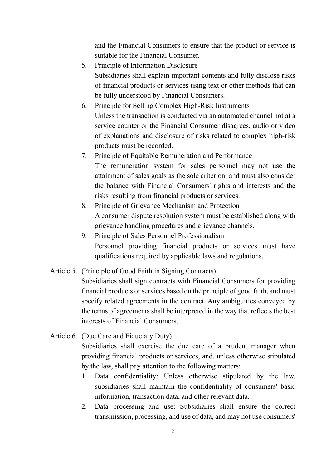and the Financial Consumers to ensure that the product or service is suitable for the Financial Consumer.

- 5. Principle of Information Disclosure Subsidiaries shall explain important contents and fully disclose risks of financial products or services using text or other methods that can be fully understood by Financial Consumers.
- 6. Principle for Selling Complex High-Risk Instruments Unless the transaction is conducted via an automated channel not at a service counter or the Financial Consumer disagrees, audio or video of explanations and disclosure of risks related to complex high-risk products must be recorded.
- 7. Principle of Equitable Remuneration and Performance The remuneration system for sales personnel may not use the attainment of sales goals as the sole criterion, and must also consider the balance with Financial Consumers' rights and interests and the risks resulting from financial products or services.
- 8. Principle of Grievance Mechanism and Protection A consumer dispute resolution system must be established along with grievance handling procedures and grievance channels.
- 9. Principle of Sales Personnel Professionalism Personnel providing financial products or services must have qualifications required by applicable laws and regulations.
- Article 5. (Principle of Good Faith in Signing Contracts)

Subsidiaries shall sign contracts with Financial Consumers for providing financial products or services based on the principle of good faith, and must specify related agreements in the contract. Any ambiguities conveyed by the terms of agreements shall be interpreted in the way that reflects the best interests of Financial Consumers.

Article 6. (Due Care and Fiduciary Duty)

Subsidiaries shall exercise the due care of a prudent manager when providing financial products or services, and, unless otherwise stipulated by the law, shall pay attention to the following matters:

- 1. Data confidentiality: Unless otherwise stipulated by the law, subsidiaries shall maintain the confidentiality of consumers' basic information, transaction data, and other relevant data.
- 2. Data processing and use: Subsidiaries shall ensure the correct transmission, processing, and use of data, and may not use consumers'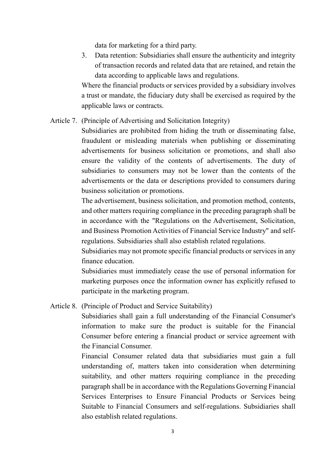data for marketing for a third party.

3. Data retention: Subsidiaries shall ensure the authenticity and integrity of transaction records and related data that are retained, and retain the data according to applicable laws and regulations.

Where the financial products or services provided by a subsidiary involves a trust or mandate, the fiduciary duty shall be exercised as required by the applicable laws or contracts.

Article 7. (Principle of Advertising and Solicitation Integrity)

Subsidiaries are prohibited from hiding the truth or disseminating false, fraudulent or misleading materials when publishing or disseminating advertisements for business solicitation or promotions, and shall also ensure the validity of the contents of advertisements. The duty of subsidiaries to consumers may not be lower than the contents of the advertisements or the data or descriptions provided to consumers during business solicitation or promotions.

The advertisement, business solicitation, and promotion method, contents, and other matters requiring compliance in the preceding paragraph shall be in accordance with the "Regulations on the Advertisement, Solicitation, and Business Promotion Activities of Financial Service Industry" and selfregulations. Subsidiaries shall also establish related regulations.

Subsidiaries may not promote specific financial products or services in any finance education.

Subsidiaries must immediately cease the use of personal information for marketing purposes once the information owner has explicitly refused to participate in the marketing program.

Article 8. (Principle of Product and Service Suitability)

Subsidiaries shall gain a full understanding of the Financial Consumer's information to make sure the product is suitable for the Financial Consumer before entering a financial product or service agreement with the Financial Consumer.

Financial Consumer related data that subsidiaries must gain a full understanding of, matters taken into consideration when determining suitability, and other matters requiring compliance in the preceding paragraph shall be in accordance with the Regulations Governing Financial Services Enterprises to Ensure Financial Products or Services being Suitable to Financial Consumers and self-regulations. Subsidiaries shall also establish related regulations.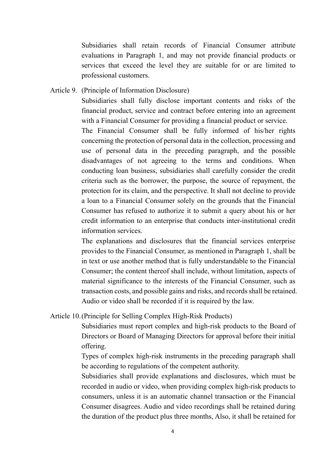Subsidiaries shall retain records of Financial Consumer attribute evaluations in Paragraph 1, and may not provide financial products or services that exceed the level they are suitable for or are limited to professional customers.

Article 9. (Principle of Information Disclosure)

Subsidiaries shall fully disclose important contents and risks of the financial product, service and contract before entering into an agreement with a Financial Consumer for providing a financial product or service.

The Financial Consumer shall be fully informed of his/her rights concerning the protection of personal data in the collection, processing and use of personal data in the preceding paragraph, and the possible disadvantages of not agreeing to the terms and conditions. When conducting loan business, subsidiaries shall carefully consider the credit criteria such as the borrower, the purpose, the source of repayment, the protection for its claim, and the perspective. It shall not decline to provide a loan to a Financial Consumer solely on the grounds that the Financial Consumer has refused to authorize it to submit a query about his or her credit information to an enterprise that conducts inter-institutional credit information services.

The explanations and disclosures that the financial services enterprise provides to the Financial Consumer, as mentioned in Paragraph 1, shall be in text or use another method that is fully understandable to the Financial Consumer; the content thereof shall include, without limitation, aspects of material significance to the interests of the Financial Consumer, such as transaction costs, and possible gains and risks, and records shall be retained. Audio or video shall be recorded if it is required by the law.

Article 10.(Principle for Selling Complex High-Risk Products)

Subsidiaries must report complex and high-risk products to the Board of Directors or Board of Managing Directors for approval before their initial offering.

Types of complex high-risk instruments in the preceding paragraph shall be according to regulations of the competent authority.

Subsidiaries shall provide explanations and disclosures, which must be recorded in audio or video, when providing complex high-risk products to consumers, unless it is an automatic channel transaction or the Financial Consumer disagrees. Audio and video recordings shall be retained during the duration of the product plus three months, Also, it shall be retained for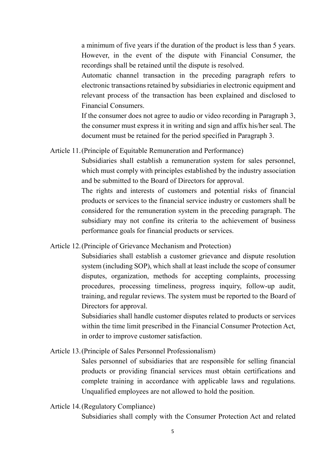a minimum of five years if the duration of the product is less than 5 years. However, in the event of the dispute with Financial Consumer, the recordings shall be retained until the dispute is resolved.

Automatic channel transaction in the preceding paragraph refers to electronic transactions retained by subsidiaries in electronic equipment and relevant process of the transaction has been explained and disclosed to Financial Consumers.

If the consumer does not agree to audio or video recording in Paragraph 3, the consumer must express it in writing and sign and affix his/her seal. The document must be retained for the period specified in Paragraph 3.

Article 11.(Principle of Equitable Remuneration and Performance)

Subsidiaries shall establish a remuneration system for sales personnel, which must comply with principles established by the industry association and be submitted to the Board of Directors for approval.

The rights and interests of customers and potential risks of financial products or services to the financial service industry or customers shall be considered for the remuneration system in the preceding paragraph. The subsidiary may not confine its criteria to the achievement of business performance goals for financial products or services.

Article 12.(Principle of Grievance Mechanism and Protection)

Subsidiaries shall establish a customer grievance and dispute resolution system (including SOP), which shall at least include the scope of consumer disputes, organization, methods for accepting complaints, processing procedures, processing timeliness, progress inquiry, follow-up audit, training, and regular reviews. The system must be reported to the Board of Directors for approval.

Subsidiaries shall handle customer disputes related to products or services within the time limit prescribed in the Financial Consumer Protection Act, in order to improve customer satisfaction.

Article 13.(Principle of Sales Personnel Professionalism)

Sales personnel of subsidiaries that are responsible for selling financial products or providing financial services must obtain certifications and complete training in accordance with applicable laws and regulations. Unqualified employees are not allowed to hold the position.

Article 14.(Regulatory Compliance)

Subsidiaries shall comply with the Consumer Protection Act and related